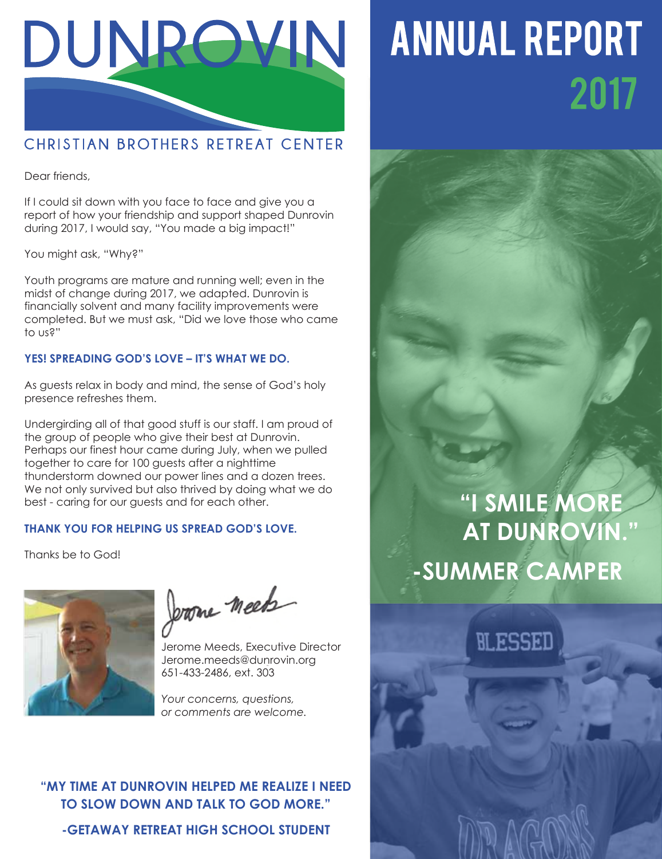

### CHRISTIAN BROTHERS RETREAT CENTER

Dear friends,

If I could sit down with you face to face and give you a report of how your friendship and support shaped Dunrovin during 2017, I would say, "You made a big impact!"

You might ask, "Why?"

Youth programs are mature and running well; even in the midst of change during 2017, we adapted. Dunrovin is financially solvent and many facility improvements were completed. But we must ask, "Did we love those who came to us?"

#### **YES! SPREADING GOD'S LOVE – IT'S WHAT WE DO.**

As guests relax in body and mind, the sense of God's holy presence refreshes them.

Undergirding all of that good stuff is our staff. I am proud of the group of people who give their best at Dunrovin. Perhaps our finest hour came during July, when we pulled together to care for 100 guests after a nighttime thunderstorm downed our power lines and a dozen trees. We not only survived but also thrived by doing what we do best - caring for our guests and for each other.

#### **THANK YOU FOR HELPING US SPREAD GOD'S LOVE.**

Thanks be to God!



Jerome meets

Jerome Meeds, Executive Director Jerome.meeds@dunrovin.org 651-433-2486, ext. 303

*Your concerns, questions, or comments are welcome.*

#### **"MY TIME AT DUNROVIN HELPED ME REALIZE I NEED TO SLOW DOWN AND TALK TO GOD MORE."**

**-GETAWAY RETREAT HIGH SCHOOL STUDENT**

# **ANNUAL REPORT** 2017

### **"I SMILE MORE AT DUNROVIN." -SUMMER CAMPER**

**NLESSED**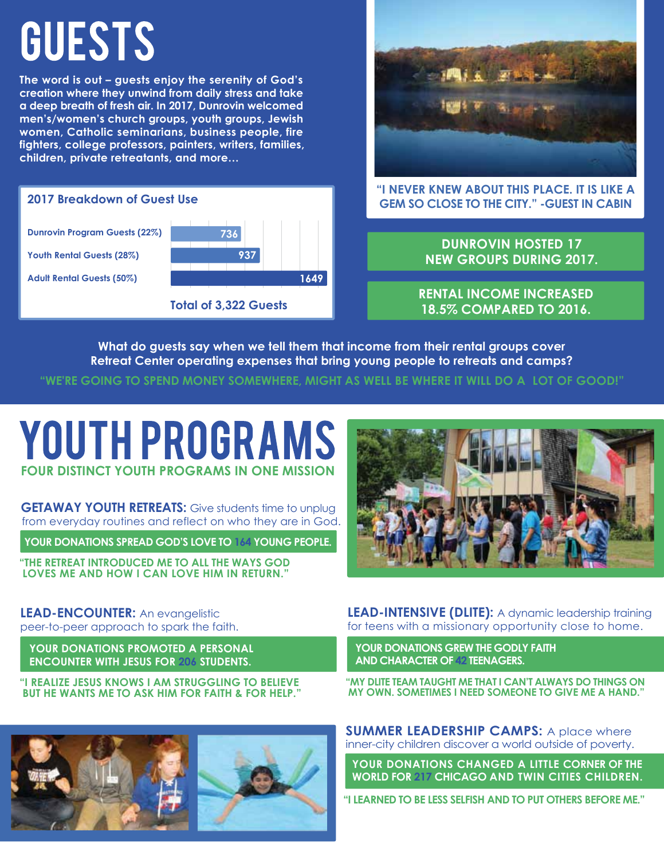# GUESTS

**The word is out – guests enjoy the serenity of God's creation where they unwind from daily stress and take a deep breath of fresh air. In 2017, Dunrovin welcomed men's/women's church groups, youth groups, Jewish women, Catholic seminarians, business people, fire fighters, college professors, painters, writers, families, children, private retreatants, and more…**

#### **2017 Breakdown of Guest Use**

**Dunrovin Program Guests (22%) Youth Rental Guests (28%) Adult Rental Guests (50%)**



**Total of 3,322 Guests**



#### **"I NEVER KNEW ABOUT THIS PLACE. IT IS LIKE A GEM SO CLOSE TO THE CITY." -GUEST IN CABIN**

**DUNROVIN HOSTED 17 NEW GROUPS DURING 2017.** 

**RENTAL INCOME INCREASED 18.5% COMPARED TO 2016.**

**What do guests say when we tell them that income from their rental groups cover Retreat Center operating expenses that bring young people to retreats and camps?** 

**"WE'RE GOING TO SPEND MONEY SOMEWHERE, MIGHT AS WELL BE WHERE IT WILL DO A LOT OF GOOD!"**

### **YOUTH PROGRAMS FOUR DISTINCT YOUTH PROGRAMS IN ONE MISSION**

**GETAWAY YOUTH RETREATS:** Give students time to unplug from everyday routines and reflect on who they are in God.

**YOUR DONATIONS SPREAD GOD'S LOVE TO 164 YOUNG PEOPLE.**

**"THE RETREAT INTRODUCED ME TO ALL THE WAYS GOD LOVES ME AND HOW I CAN LOVE HIM IN RETURN."**

#### **LEAD-ENCOUNTER:** An evangelistic peer-to-peer approach to spark the faith.

**YOUR DONATIONS PROMOTED A PERSONAL ENCOUNTER WITH JESUS FOR 206 STUDENTS.**

**"I REALIZE JESUS KNOWS I AM STRUGGLING TO BELIEVE BUT HE WANTS ME TO ASK HIM FOR FAITH & FOR HELP."** 





**LEAD-INTENSIVE (DLITE):** A dynamic leadership training for teens with a missionary opportunity close to home.

**YOUR DONATIONS GREW THE GODLY FAITH AND CHARACTER OF 42 TEENAGERS.**

**"MY DLITE TEAM TAUGHT ME THAT I CAN'T ALWAYS DO THINGS ON MY OWN. SOMETIMES I NEED SOMEONE TO GIVE ME A HAND."**

**SUMMER LEADERSHIP CAMPS:** A place where inner-city children discover a world outside of poverty.

**YOUR DONATIONS CHANGED A LITTLE CORNER OF THE WORLD FOR 217 CHICAGO AND TWIN CITIES CHILDREN.**

**"I LEARNED TO BE LESS SELFISH AND TO PUT OTHERS BEFORE ME."**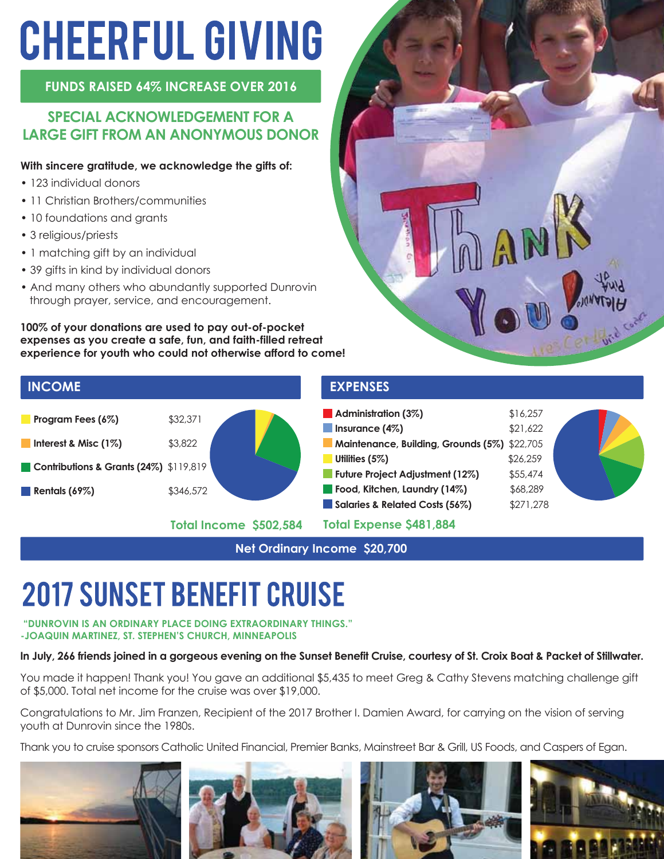# **CHEERFUL GIVING**

**FUNDS RAISED 64% INCREASE OVER 2016** 

#### **SPECIAL ACKNOWLEDGEMENT FOR A LARGE GIFT FROM AN ANONYMOUS DONOR**

#### **With sincere gratitude, we acknowledge the gifts of:**

- 123 individual donors
- 11 Christian Brothers/communities
- 10 foundations and grants
- 3 religious/priests
- 1 matching gift by an individual
- 39 gifts in kind by individual donors
- And many others who abundantly supported Dunrovin through prayer, service, and encouragement.

**100% of your donations are used to pay out-of-pocket expenses as you create a safe, fun, and faith-filled retreat experience for youth who could not otherwise afford to come!**



**Total Income \$502,584**



| <b>Service Service</b> | Administration (3%)                          | \$16,257  |  |
|------------------------|----------------------------------------------|-----------|--|
|                        | Insurance $(4\%)$                            | \$21,622  |  |
|                        | Maintenance, Building, Grounds (5%) \$22,705 |           |  |
|                        | Utilities (5%)                               | \$26,259  |  |
|                        | Future Project Adjustment (12%)              | \$55,474  |  |
|                        | Food, Kitchen, Laundry (14%)                 | \$68,289  |  |
| <b>I</b>               | Salaries & Related Costs (56%)               | \$271,278 |  |
|                        |                                              |           |  |

**Total Expense \$481,884**

**Net Ordinary Income \$20,700**

### **2017 SUNSET BENEFIT CRUISE**

#### **"DUNROVIN IS AN ORDINARY PLACE DOING EXTRAORDINARY THINGS." -JOAQUIN MARTINEZ, ST. STEPHEN'S CHURCH, MINNEAPOLIS**

#### **In July, 266 friends joined in a gorgeous evening on the Sunset Benefit Cruise, courtesy of St. Croix Boat & Packet of Stillwater.**

You made it happen! Thank you! You gave an additional \$5,435 to meet Greg & Cathy Stevens matching challenge gift of \$5,000. Total net income for the cruise was over \$19,000.

Congratulations to Mr. Jim Franzen, Recipient of the 2017 Brother I. Damien Award, for carrying on the vision of serving youth at Dunrovin since the 1980s.

Thank you to cruise sponsors Catholic United Financial, Premier Banks, Mainstreet Bar & Grill, US Foods, and Caspers of Egan.